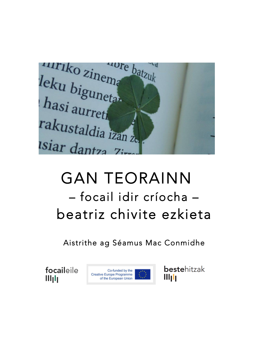

# GAN TEORAINN – focail idir críocha – beatriz chivite ezkieta

Aistrithe ag Séamus Mac Conmidhe

focaileile  $III<sub>1</sub>I<sub>1</sub>$ 



bestehitzak Wyh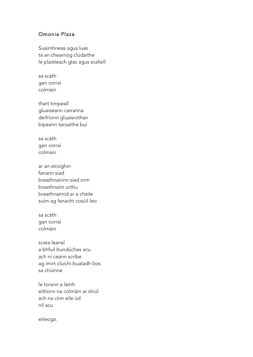#### Omonia Plaza

Suaimhneas agus luas tá an chearnóg clúdaithe le plaisteach glas agus scafaill

sa scáth gan corraí colmáin

thart timpeall gluaiseann carranna deifríonn gluaisrothair bípeann tacsaithe buí

sa scáth gan corraí colmáin

ar an stroighin fanann siad breathnaíonn siad orm breathnaím orthu breathnaímid ar a chéile suím ag fanacht cosúil leo

sa scáth gan corraí colmáin

scata leanaí a bhfuil bundúchas acu ach ní ceann scríbe ag imirt cluichí bualadh bos sa chúinne

le torann a lámh eitlíonn na colmáin ar shiúl ach na cinn eile úd níl acu

eiteoga.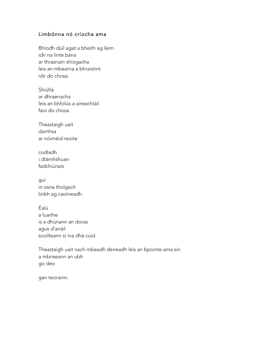#### Limbónna nó críocha ama

Bhíodh dúil agat a bheith ag léim idir na línte bána ar thrasriain shíogacha leis an mbearna a bhraistint idir do chosa.

Shiúltá ar dhraenacha leis an bhfolús a aireachtáil faoi do chosa.

Theastaigh uait damhsa ar nóiméid reoite

codladh i dtámhshuan fadchiúnais

guí in osna tholgach linbh ag caoineadh.

Éalú a luaithe is a dhúnann an doras agus d'anáil scoilteann sí ina dhá cuid.

Theastaigh uait nach mbeadh deireadh leis an bpointe ama sin a mbriseann an ubh go deo

gan teorainn.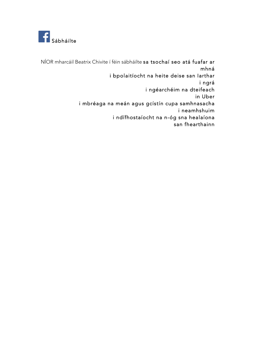

NÍOR mharcáil Beatrix Chivite í féin sábháilte sa tsochaí seo atá fuafar ar mhná i bpolaitíocht na heite deise san Iarthar i ngrá i ngéarchéim na dteifeach in Uber i mbréaga na meán agus gcístín cupa samhnasacha i neamhshuim i ndífhostaíocht na n-óg sna healaíona san fhearthainn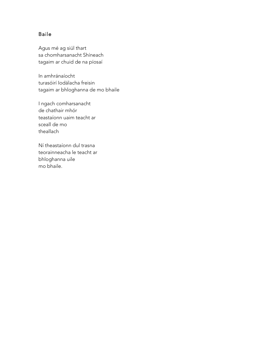## Baile

Agus mé ag siúl thart sa chomharsanacht Shíneach tagaim ar chuid de na píosaí

In amhránaíocht turasóirí Iodálacha freisin tagaim ar bhloghanna de mo bhaile

I ngach comharsanacht de chathair mhór teastaíonn uaim teacht ar sceall de mo theallach

Ní theastaíonn dul trasna teorainneacha le teacht ar bhloghanna uile mo bhaile.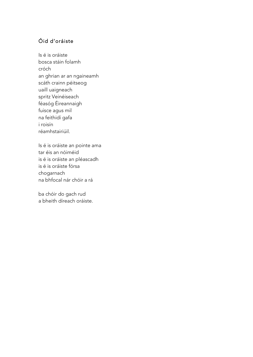## Oid d'oráiste

Is é is oráiste bosca stáin folamh cróch an ghrian ar an ngaineamh scáth crainn péitseog uaill uaigneach spritz Veinéiseach féasóg Éireannaigh fuisce agus mil na feithidí gafa i roisín réamhstairiúil.

Is é is oráiste an pointe ama tar éis an nóiméid is é is oráiste an pléascadh is é is oráiste fórsa chogarnach na bhfocal nár chóir a rá

ba chóir do gach rud a bheith díreach oráiste.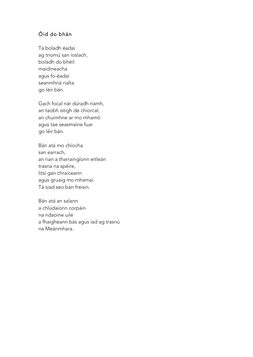# Óid do bhán

Tá boladh éadaí ag triomú san íoslach, boladh do bhéil maidineacha agus fo-éadaí seanmhná rialta go léir bán.

Gach focal nár dúradh riamh, an taobh istigh de chiorcal, an chuimhne ar mo mhamó agus tae seasmaine fuar go léir bán.

Bán atá mo chíocha san earrach, an rian a tharraingíonn eitleán trasna na spéire, litsí gan chraiceann agus gruaig mo mhamaí. Tá siad seo bán freisin.

Bán atá an salann a chlúdaíonn corpáin na ndaoine uile a fhaigheann bás agus iad ag trasnú na Meánmhara.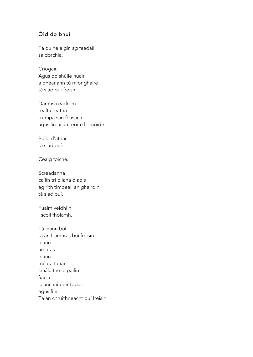# Óid do bhuí

Tá duine éigin ag feadaíl sa dorchla.

Criogair. Agus do shúile nuair a dhéanann tú miongháire tá siad buí freisin.

Damhsa éadrom réalta reatha trumpa san fhásach agus líreacán reoite liomóide.

Balla d'athar tá siad buí.

Cealg foiche.

Screadanna cailín trí bliana d'aois ag rith timpeall an ghairdín tá siad buí.

Fuaim veidhlín i scoil fholamh.

Tá leann buí tá an t-amhras buí freisin leann amhras leann méara tanaí smálaithe le pailin fiacla seanchaiteoir tobac agus file. Tá an chruithneacht buí freisin.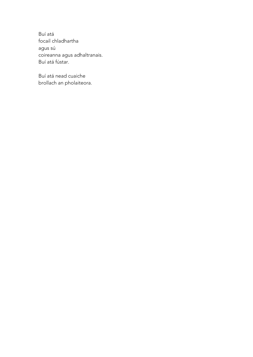Buí atá focail chladhartha agus sú coireanna agus adhaltranais. Buí atá fústar.

Buí atá nead cuaiche brollach an pholaiteora.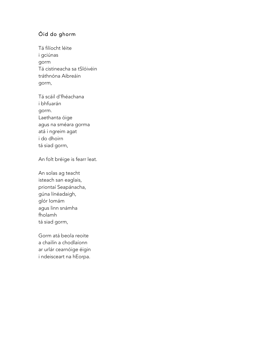# Óid do ghorm

Tá filíocht léite i gciúnas gorm Tá cistineacha sa tSlóivéin tráthnóna Aibreáin gorm,

Tá scáil d'fhéachana i bhfuarán gorm. Laethanta óige agus na sméara gorma atá i ngreim agat i do dhoirn tá siad gorm,

An folt bréige is fearr leat.

An solas ag teacht isteach san eaglais, priontaí Seapánacha, gúna línéadaigh, glór Iomám agus linn snámha fholamh tá siad gorm,

Gorm atá beola reoite a chailín a chodlaíonn ar urlár cearnóige éigin i ndeisceart na hEorpa.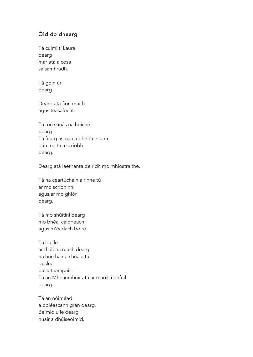# Óid do dhearg

Tá cuimiltí Laura dearg mar atá a cosa sa samhradh.

Tá goin úr dearg.

Dearg atá fíon maith agus teasaíocht.

Tá tríú súnás na hoíche dearg Tá fearg as gan a bheith in ann dán maith a scríobh dearg.

Dearg atá laethanta deiridh mo mhíostraithe.

Tá na ceartúcháin a rinne tú ar mo scríbhinní agus ar mo ghlór dearg.

Tá mo shúitíní dearg mo bhéal cáidheach agus m'éadach boird.

Tá buille ar thábla cruach dearg na hurchair a chuala tú sa slua balla teampaill. Tá an Mheánmhuir atá ar maois i bhfuil dearg.

Tá an nóiméad a bpléascann grán dearg. Beimid uile dearg nuair a dhúiseoimid.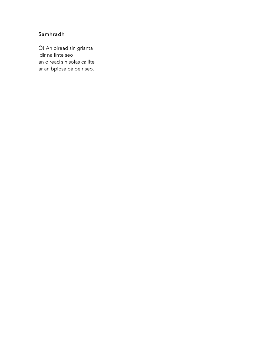# Samhradh

Ó! An oiread sin grianta idir na línte seo an oiread sin solas caillte ar an bpíosa páipéir seo.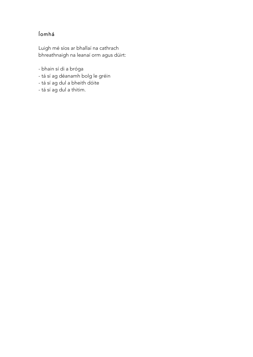# Íomhá

Luigh mé síos ar bhallaí na cathrach bhreathnaigh na leanaí orm agus dúirt:

- bhain sí di a bróga
- tá sí ag déanamh bolg le gréin
- tá sí ag dul a bheith dóite
- tá sí ag dul a thitim.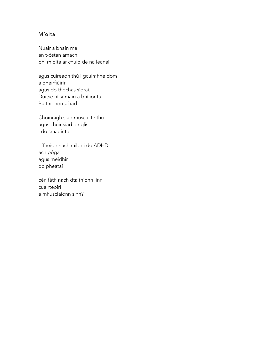## Míolta

Nuair a bhain mé an t-óstán amach bhí míolta ar chuid de na leanaí

agus cuireadh thú i gcuimhne dom a dheirfiúirín agus do thochas síoraí. Duitse ní súmairí a bhí iontu Ba thionontaí iad.

Choinnigh siad múscailte thú agus chuir siad dinglis i do smaointe

b'fhéidir nach raibh i do ADHD ach póga agus meidhir do pheataí

cén fáth nach dtaitníonn linn cuairteoirí a mhúsclaíonn sinn?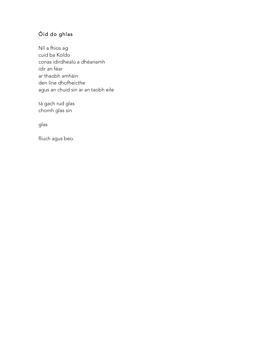# Óid do ghlas

Níl a fhios ag cuid ba Koldo conas idirdhealú a dhéanamh idir an féar ar thaobh amháin den líne dhofheicthe agus an chuid sin ar an taobh eile

tá gach rud glas chomh glas sin

glas

fliuch agus beo.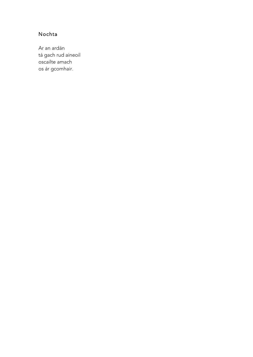# Nochta

Ar an ardán tá gach rud aineoil oscailte amach os ár gcomhair.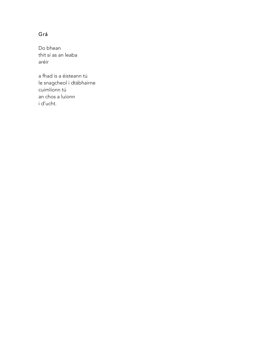# Grá

Do bhean thit sí as an leaba aréir

a fhad is a éisteann tú le snagcheol i dtábhairne cuimlíonn tú an chos a luíonn i d'ucht.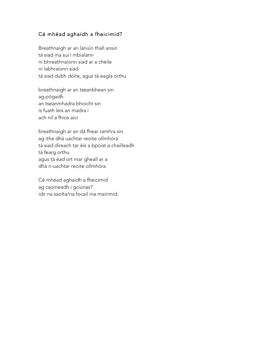## Cé mhéad aghaidh a fheicimid?

Breathnaigh ar an lánúin thall ansin tá siad ina suí i mbialann ní bhreathnaíonn siad ar a chéile ní labhraíonn siad tá siad dubh dóite, agus tá eagla orthu

breathnaigh ar an tseanbhean sin ag pógadh an tseanmhadra bhoicht sin is fuath leis an madra í ach níl a fhios aici

breathnaigh ar an dá fhear ramhra sin ag ithe dhá uachtar reoite ollmhóra tá siad díreach tar éis a bpoist a chailleadh tá fearg orthu agus tá éad ort mar gheall ar a dhá n-uachtar reoite ollmhóra

Cé mhéad aghaidh a fheicimid ag caoineadh i gciúnas? idir na saolta/na focail ina mairimid.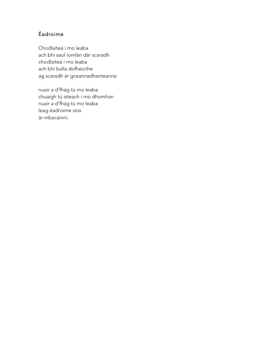# Éadroime

Chodlaíteá i mo leaba ach bhí saol iomlán dár scaradh chodlaíteá i mo leaba ach bhí balla dofheicthe ag scaradh ár gceannadhairteanna

nuair a d'fhág tú mo leaba chuaigh tú isteach i mo dhomhan nuair a d'fhág tú mo leaba leag éadroime síos ár mbacainní.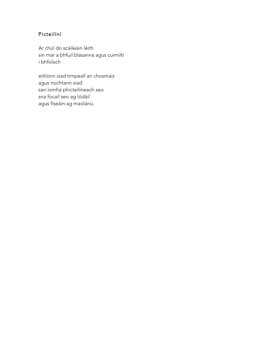# Picteilíní

Ar chúl do scáileáin léith sin mar a bhfuil blasanna agus cuimiltí i bhfolach

eitlíonn siad timpeall an chosmais agus nochtann siad san íomhá phicteilíneach seo sna focail seo ag lódáil agus físeáin ag maolánú.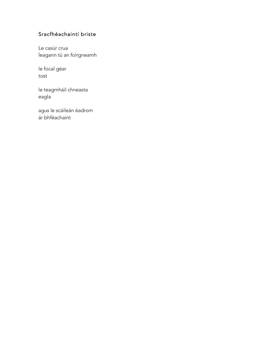# Sracfhéachaintí briste

Le casúr crua leagann tú an foirgneamh

le focal géar tost

le teagmháil chneasta eagla

agus le scáileán éadrom ár bhféachaint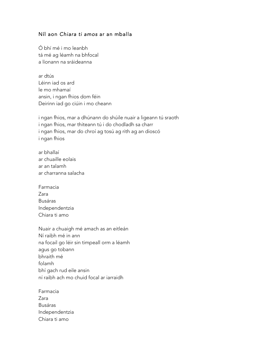#### Níl aon *Chiara ti amos* ar an mballa

Ó bhí mé i mo leanbh tá mé ag léamh na bhfocal a líonann na sráideanna

ar dtús Léinn iad os ard le mo mhamaí ansin, i ngan fhios dom féin Deirinn iad go ciúin i mo cheann

i ngan fhios, mar a dhúnann do shúile nuair a ligeann tú sraoth i ngan fhios, mar thiteann tú i do chodladh sa charr i ngan fhios, mar do chroí ag tosú ag rith ag an dioscó i ngan fhios

- ar bhallaí ar chuaille eolais ar an talamh ar charranna salacha
- Farmacia Zara Busáras Independentzia Chiara ti amo
- Nuair a chuaigh mé amach as an eitleán Ní raibh mé in ann na focail go léir sin timpeall orm a léamh agus go tobann bhraith mé folamh bhí gach rud eile ansin ní raibh ach mo chuid focal ar iarraidh
- Farmacia Zara Busáras Independentzia Chiara ti amo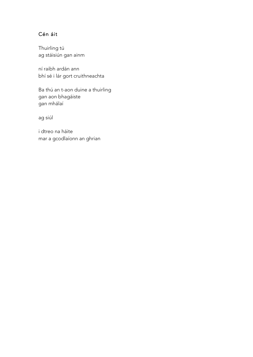# Cén áit

Thuirling tú ag stáisiún gan ainm

ní raibh ardán ann bhí sé i lár gort cruithneachta

Ba thú an t-aon duine a thuirling gan aon bhagáiste gan mhálaí

ag siúl

i dtreo na háite mar a gcodlaíonn an ghrian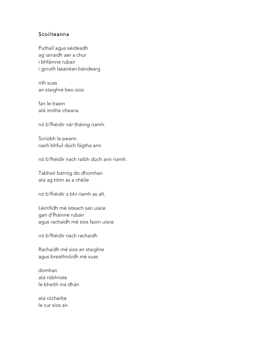#### Scoilteanna

Puthaíl agus séideadh ag iarraidh aer a chur i bhfáinne rubair i gcruth lasairéan bándearg

rith suas an staighre beo síos

fan le traein atá imithe cheana

nó b'fhéidir nár tháinig riamh.

Scríobh le peann nach bhfuil dúch fágtha ann

nó b'fhéidir nach raibh dúch ann riamh.

Tabhair barróg do dhomhan atá ag titim as a chéile

nó b'fhéidir a bhí riamh as alt.

Léimfidh mé isteach san uisce gan d'fháinne rubair agus rachaidh mé síos faoin uisce

nó b'fhéidir nach rachaidh

Rachaidh mé síos an staighre agus breathnóidh mé suas

domhan atá róbhriste le bheith ina dhán

atá rócheilte le cur síos air.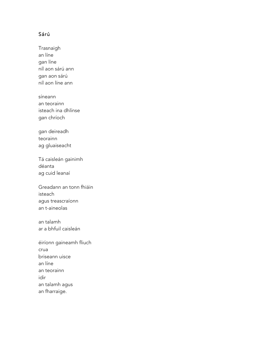#### Sárú

Trasnaigh an líne gan líne níl aon sárú ann gan aon sárú níl aon líne ann

síneann an teorainn isteach ina dhlínse gan chríoch

gan deireadh teorainn ag gluaiseacht

Tá caisleán gainimh déanta ag cuid leanaí

Greadann an tonn fhiáin isteach agus treascraíonn an t-aineolas

an talamh ar a bhfuil caisleán

éiríonn gaineamh fliuch crua briseann uisce an líne an teorainn idir an talamh agus an fharraige.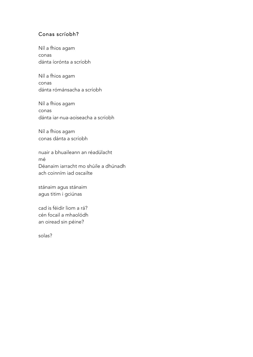#### Conas scríobh?

Níl a fhios agam conas dánta íorónta a scríobh

Níl a fhios agam conas dánta rómánsacha a scríobh

Níl a fhios agam conas dánta iar-nua-aoiseacha a scríobh

Níl a fhios agam conas dánta a scríobh

nuair a bhuaileann an réadúlacht mé Déanaim iarracht mo shúile a dhúnadh ach coinním iad oscailte

stánaim agus stánaim agus titim i gciúnas

cad is féidir liom a rá? cén focail a mhaolódh an oiread sin péine?

solas?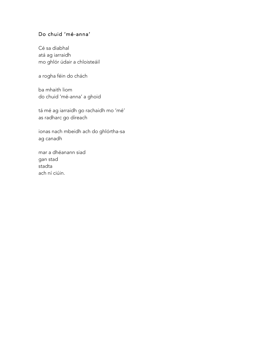#### Do chuid 'mé-anna'

Cé sa diabhal atá ag iarraidh mo ghlór údair a chloisteáil

a rogha féin do chách

ba mhaith liom do chuid 'mé-anna' a ghoid

tá mé ag iarraidh go rachaidh mo 'mé' as radharc go díreach

ionas nach mbeidh ach do ghlórtha-sa ag canadh

mar a dhéanann siad gan stad stadta ach ní ciúin.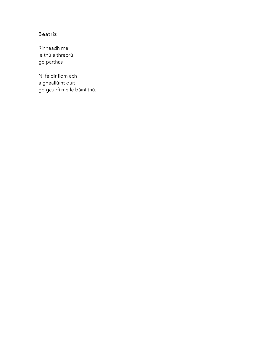# Beatriz

Rinneadh mé le thú a threorú go parthas

Ní féidir liom ach a gheallúint duit go gcuirfí mé le báiní thú.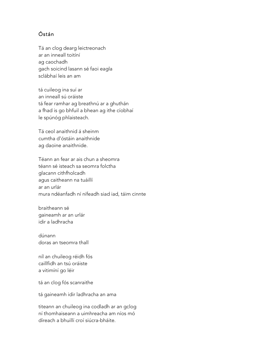# Óstán

Tá an clog dearg leictreonach ar an inneall toitíní ag caochadh gach soicind lasann sé faoi eagla sclábhaí leis an am

tá cuileog ina suí ar an inneall sú oráiste tá fear ramhar ag breathnú ar a ghuthán a fhad is go bhfuil a bhean ag ithe cíobhaí le spúnóg phlaisteach.

Tá ceol anaithnid á sheinm cumtha d'óstáin anaithnide ag daoine anaithnide.

Téann an fear ar ais chun a sheomra téann sé isteach sa seomra folctha glacann cithfholcadh agus caitheann na tuáillí ar an urlár mura ndéanfadh ní nífeadh siad iad, táim cinnte

braitheann sé gaineamh ar an urlár idir a ladhracha

dúnann doras an tseomra thall

níl an chuileog réidh fós caillfidh an tsú oráiste a vitimíní go léir

tá an clog fós scanraithe

tá gaineamh idir ladhracha an ama

titeann an chuileog ina codladh ar an gclog ní thomhaiseann a uimhreacha am níos mó díreach a bhuillí croí siúcra-bháite.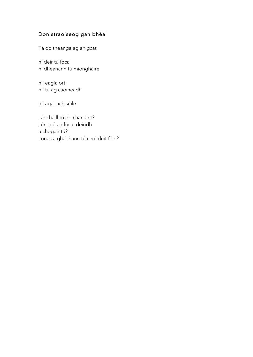# Don straoiseog gan bhéal

Tá do theanga ag an gcat

ní deir tú focal ní dhéanann tú miongháire

níl eagla ort níl tú ag caoineadh

níl agat ach súile

cár chaill tú do chanúint? cérbh é an focal deiridh a chogair tú? conas a ghabhann tú ceol duit féin?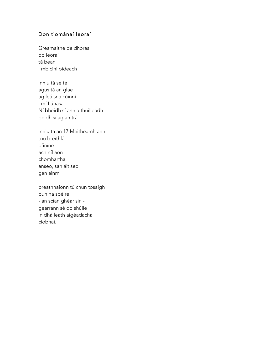#### Don tiománaí leoraí

Greamaithe de dhoras do leoraí tá bean i mbicíní bídeach

inniu tá sé te agus tá an glae ag leá sna cúinní i mí Lúnasa Ní bheidh sí ann a thuilleadh beidh sí ag an trá

inniu tá an 17 Meitheamh ann tríú breithlá d'iníne ach níl aon chomhartha anseo, san áit seo gan ainm

breathnaíonn tú chun tosaigh bun na spéire - an scian ghéar sin gearrann sé do shúile in dhá leath aigéadacha cíobhaí.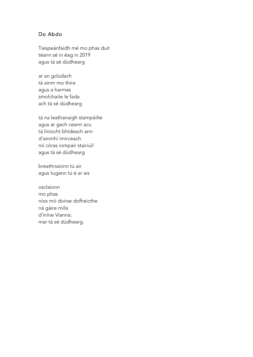#### Do Abdo

Taispeánfaidh mé mo phas duit téann sé in éag in 2019 agus tá sé dúdhearg

ar an gclúdach tá ainm mo thíre agus a harmas smolchaite le fada ach tá sé dúdhearg

tá na leathanaigh stampáilte agus ar gach ceann acu tá líníocht bhídeach ann d'ainmhí imirceach nó córas iompair stairiúil agus tá sé dúdhearg

breathnaíonn tú air agus tugann tú é ar ais

osclaíonn mo phas níos mó doirse dofheicthe ná gáire milis d'iníne Vianna; mar tá sé dúdhearg.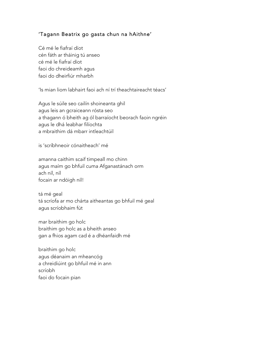#### 'Tagann Beatrix go gasta chun na hAithne'

Cé mé le fiafraí díot cén fáth ar tháinig tú anseo cé mé le fiafraí díot faoi do chreideamh agus faoi do dheirfiúr mharbh

'Is mian liom labhairt faoi ach ní trí theachtaireacht téacs'

Agus le súile seo cailín shoineanta ghil agus leis an gcraiceann rósta seo a thagann ó bheith ag ól barraíocht beorach faoin ngréin agus le dhá leabhar filíochta a mbraithim dá mbarr intleachtúil

is 'scríbhneoir cónaitheach' mé

amanna caithim scaif timpeall mo chinn agus maím go bhfuil cuma Afganastánach orm ach níl, níl focain ar ndóigh níl!

tá mé geal tá scríofa ar mo chárta aitheantas go bhfuil mé geal agus scríobhaim fút

mar braithim go holc braithim go holc as a bheith anseo gan a fhios agam cad é a dhéanfaidh mé

braithim go holc agus déanaim an mheancóg a chreidiúint go bhfuil mé in ann scríobh faoi do focain pian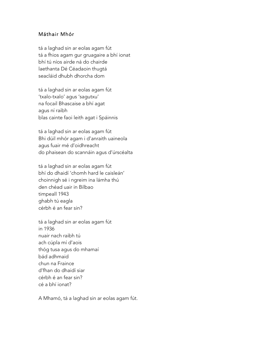#### Máthair Mhór

tá a laghad sin ar eolas agam fút tá a fhios agam gur gruagaire a bhí ionat bhí tú níos airde ná do chairde laethanta Dé Céadaoin thugtá seacláid dhubh dhorcha dom

tá a laghad sin ar eolas agam fút 'txalo-txalo' agus 'sagutxu' na focail Bhascaise a bhí agat agus ní raibh blas cainte faoi leith agat i Spáinnis

tá a laghad sin ar eolas agam fút Bhi dúil mhór agam i d'anraith uaineola agus fuair mé d'oidhreacht do phaisean do scannáin agus d'úrscéalta

tá a laghad sin ar eolas agam fút bhí do dhaidí 'chomh hard le caisleán' choinnigh sé i ngreim ina lámha thú den chéad uair in Bilbao timpeall 1943 ghabh tú eagla cérbh é an fear sin?

tá a laghad sin ar eolas agam fút in 1936 nuair nach raibh tú ach cúpla mí d'aois thóg tusa agus do mhamaí bád adhmaid chun na Fraince d'fhan do dhaidí siar cérbh é an fear sin? cé a bhí ionat?

A Mhamó, tá a laghad sin ar eolas agam fút.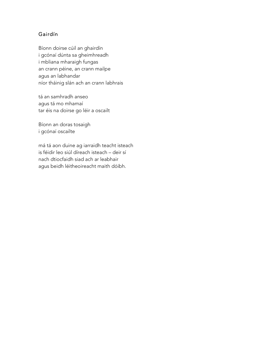# Gairdín

Bíonn doirse cúil an ghairdín i gcónaí dúnta sa gheimhreadh i mbliana mharaigh fungas an crann péine, an crann mailpe agus an labhandar níor tháinig slán ach an crann labhrais

tá an samhradh anseo agus tá mo mhamaí tar éis na doirse go léir a oscailt

Bíonn an doras tosaigh i gcónaí oscailte

má tá aon duine ag iarraidh teacht isteach is féidir leo siúl díreach isteach – deir sí nach dtiocfaidh siad ach ar leabhair agus beidh léitheoireacht maith dóibh.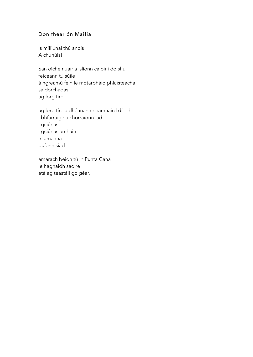# Don fhear ón Maifia

Is milliúnaí thú anois A chunúis!

San oíche nuair a íslíonn caipíní do shúl feiceann tú súile á ngreamú féin le mótarbháid phlaisteacha sa dorchadas ag lorg tíre

ag lorg tíre a dhéanann neamhaird díobh i bhfarraige a chorraíonn iad i gciúnas i gciúnas amháin in amanna guíonn siad

amárach beidh tú in Punta Cana le haghaidh saoire atá ag teastáil go géar.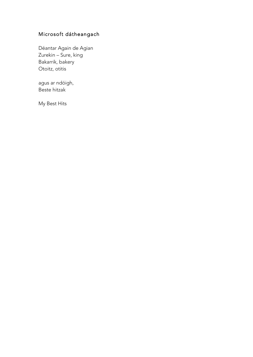# Microsoft dátheangach

Déantar Again de Agian Zurekin – Sure, king Bakarrik, bakery Otoitz, otitis

agus ar ndóigh, Beste hitzak

My Best Hits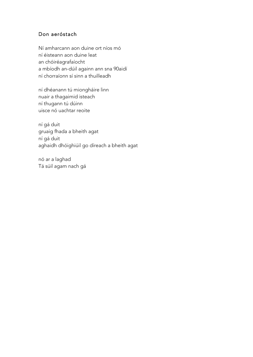## Don aeróstach

Ní amharcann aon duine ort níos mó ní éisteann aon duine leat an chóiréagrafaíocht a mbíodh an-dúil againn ann sna 90aidí ní chorraíonn sí sinn a thuilleadh

ní dhéanann tú miongháire linn nuair a thagaimid isteach ní thugann tú dúinn uisce nó uachtar reoite

ní gá duit gruaig fhada a bheith agat ní gá duit aghaidh dhóighiúil go díreach a bheith agat

nó ar a laghad Tá súil agam nach gá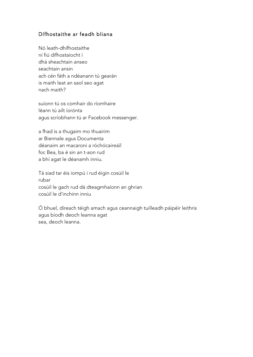#### Dífhostaithe ar feadh bliana

Nó leath-dhífhostaithe ní fiú dífhostaíocht í dhá sheachtain anseo seachtain ansin ach cén fáth a ndéanann tú gearán is maith leat an saol seo agat nach maith?

suíonn tú os comhair do ríomhaire léann tú ailt íorónta agus scríobhann tú ar Facebook messenger.

a fhad is a thugaim mo thuairim ar Biennale agus Documenta déanaim an macaroni a róchócaireáil foc Bea, ba é sin an t-aon rud a bhí agat le déanamh inniu.

Tá siad tar éis iompú i rud éigin cosúil le rubar cosúil le gach rud dá dteagmhaíonn an ghrian cosúil le d'inchinn inniu

Ó bhuel, díreach téigh amach agus ceannaigh tuilleadh páipéir leithris agus bíodh deoch leanna agat sea, deoch leanna.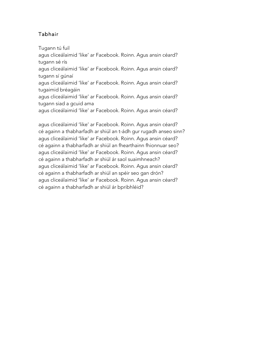# Tabhair

Tugann tú fuil

agus cliceálaimid 'like' ar Facebook. Roinn. Agus ansin céard? tugann sé rís agus cliceálaimid 'like' ar Facebook. Roinn. Agus ansin céard?

tugann sí gúnaí

agus cliceálaimid 'like' ar Facebook. Roinn. Agus ansin céard? tugaimid bréagáin

agus cliceálaimid 'like' ar Facebook. Roinn. Agus ansin céard? tugann siad a gcuid ama

agus cliceálaimid 'like' ar Facebook. Roinn. Agus ansin céard?

agus cliceálaimid 'like' ar Facebook. Roinn. Agus ansin céard? cé againn a thabharfadh ar shiúl an t-ádh gur rugadh anseo sinn? agus cliceálaimid 'like' ar Facebook. Roinn. Agus ansin céard? cé againn a thabharfadh ar shiúl an fhearthainn fhionnuar seo? agus cliceálaimid 'like' ar Facebook. Roinn. Agus ansin céard? cé againn a thabharfadh ar shiúl ár saol suaimhneach? agus cliceálaimid 'like' ar Facebook. Roinn. Agus ansin céard? cé againn a thabharfadh ar shiúl an spéir seo gan drón? agus cliceálaimid 'like' ar Facebook. Roinn. Agus ansin céard? cé againn a thabharfadh ar shiúl ár bpribhléid?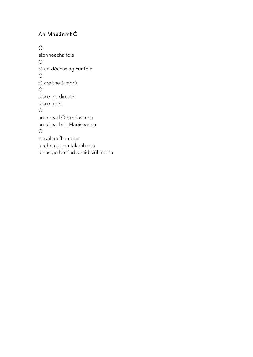# An MheánmhÓ

Ó aibhneacha fola Ó tá an dóchas ag cur fola Ó tá croíthe á mbrú Ó uisce go díreach uisce goirt Ó an oiread Odaiséasanna an oiread sin Maoiseanna Ó oscail an fharraige leathnaigh an talamh seo ionas go bhféadfaimid siúl trasna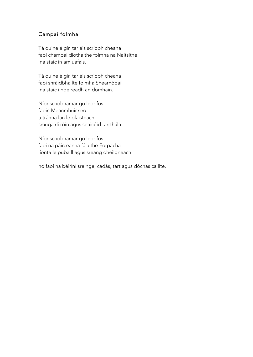## Campaí folmha

Tá duine éigin tar éis scríobh cheana faoi champaí díothaithe folmha na Naitsithe ina staic in am uafáis.

Tá duine éigin tar éis scríobh cheana faoi shráidbhailte folmha Shearnóbail ina staic i ndeireadh an domhain.

Níor scríobhamar go leor fós faoin Meánmhuir seo a tránna lán le plaisteach smugairlí róin agus seaicéid tarrthála.

Níor scríobhamar go leor fós faoi na páirceanna fálaithe Eorpacha líonta le pubaill agus sreang dheilgneach

nó faoi na béiríní sreinge, cadás, tart agus dóchas caillte.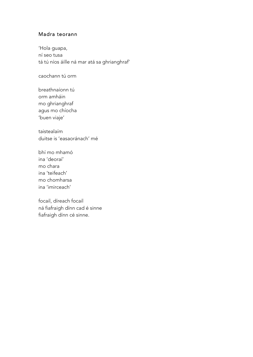#### Madra teorann

'Hola guapa, ní seo tusa tá tú níos áille ná mar atá sa ghrianghraf'

caochann tú orm

breathnaíonn tú orm amháin mo ghrianghraf agus mo chíocha 'buen viaje'

taistealaím duitse is 'easaoránach' mé

bhí mo mhamó ina 'deoraí' mo chara ina 'teifeach' mo chomharsa ina 'imirceach'

focail, díreach focail ná fiafraigh dínn cad é sinne fiafraigh dínn cé sinne.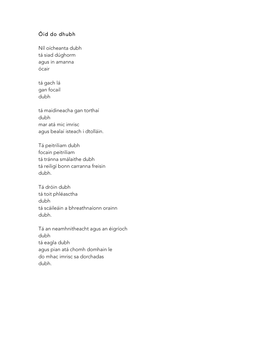# Óid do dhubh

Níl oícheanta dubh tá siad dúghorm agus in amanna ócair

tá gach lá gan focail dubh

tá maidineacha gan torthaí dubh mar atá mic imrisc agus bealaí isteach i dtolláin.

Tá peitriliam dubh focain peitriliam tá tránna smálaithe dubh tá reiligí bonn carranna freisin dubh.

Tá dróin dubh tá toit phléasctha dubh tá scáileáin a bhreathnaíonn orainn dubh.

Tá an neamhnitheacht agus an éigríoch dubh tá eagla dubh agus pian atá chomh domhain le do mhac imrisc sa dorchadas dubh.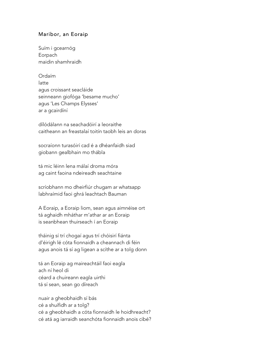#### Maribor, an Eoraip

Suím i gcearnóg **Eorpach** maidin shamhraidh

Ordaím latte agus croissant seacláide seinneann giofóga 'besame mucho' agus 'Les Champs Elysses' ar a gcairdíní

dílódálann na seachadóirí a leoraithe caitheann an freastalaí toitín taobh leis an doras

socraíonn turasóirí cad é a dhéanfaidh siad giobann gealbhain mo thábla

tá mic léinn lena málaí droma móra ag caint faoina ndeireadh seachtaine

scríobhann mo dheirfiúr chugam ar whatsapp labhraímid faoi ghrá leachtach Bauman

A Eoraip, a Eoraip liom, sean agus aimnéise ort tá aghaidh mháthar m'athar ar an Eoraip is seanbhean thuirseach í an Eoraip

tháinig sí trí chogaí agus trí chóisirí fiánta d'éirigh lé cóta fionnaidh a cheannach di féin agus anois tá sí ag ligean a scíthe ar a tolg donn

tá an Eoraip ag maireachtáil faoi eagla ach ní heol di céard a chuireann eagla uirthi tá sí sean, sean go díreach

nuair a gheobhaidh sí bás cé a shuífidh ar a tolg? cé a gheobhaidh a cóta fionnaidh le hoidhreacht? cé atá ag iarraidh seanchóta fionnaidh anois cibé?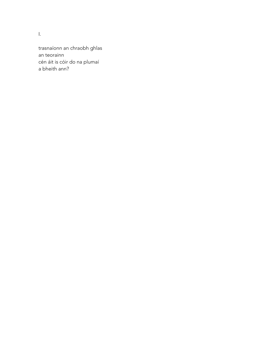I.

trasnaíonn an chraobh ghlas an teorainn cén áit is cóir do na plumaí a bheith ann?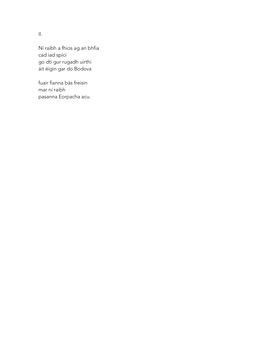II.

Ní raibh a fhios ag an bhfia cad iad spící go dtí gur rugadh uirthi áit éigin gar do Bodova

fuair fianna bás freisin mar ní raibh pasanna Eorpacha acu.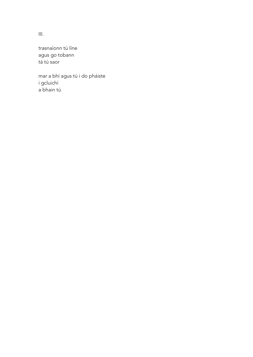III.

trasnaíonn tú líne agus go tobann tá tú saor

mar a bhí agus tú i do pháiste i gcluichí a bhain tú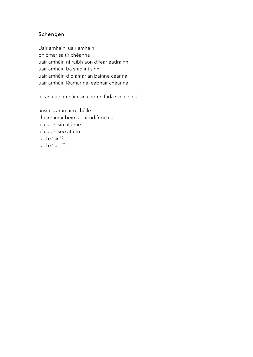## Schengen

Uair amháin, uair amháin bhíomar sa tír chéanna uair amháin ní raibh aon difear eadrainn uair amháin ba shiblíní sinn uair amháin d'ólamar an bainne céanna uair amháin léamar na leabhair chéanna

níl an uair amháin sin chomh fada sin ar shiúl

ansin scaramar ó chéile chuireamar béim ar ár ndifríochtaí ní uaidh sin atá mé ní uaidh seo atá tú cad é 'sin'? cad é 'seo'?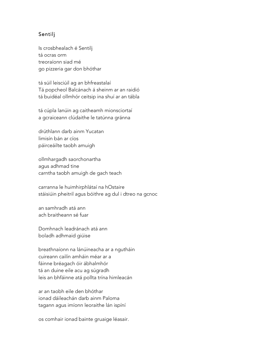#### Sentilj

Is crosbhealach é Sentilj tá ocras orm treoraíonn siad mé go pizzeria gar don bhóthar

tá súil leisciúil ag an bhfreastalaí Tá popcheol Balcánach á sheinm ar an raidió tá buidéal ollmhór ceitsip ina shuí ar an tábla

tá cúpla lanúin ag caitheamh mionsciortaí a gcraiceann clúdaithe le tatúnna gránna

drúthlann darb ainm Yucatan limisín bán ar cíos páirceáilte taobh amuigh

ollmhargadh saorchonartha agus adhmad tine carntha taobh amuigh de gach teach

carranna le huimhirphlátaí na hOstaire stáisiúin pheitril agus bóithre ag dul i dtreo na gcnoc

an samhradh atá ann ach braitheann sé fuar

Domhnach leadránach atá ann boladh adhmaid giúise

breathnaíonn na lánúineacha ar a ngutháin cuireann cailín amháin méar ar a fáinne bréagach óir ábhalmhór tá an duine eile acu ag súgradh leis an bhfáinne atá pollta trína himleacán

ar an taobh eile den bhóthar ionad dáileachán darb ainm Paloma tagann agus imíonn leoraithe lán ispíní

os comhair ionad bainte gruaige léasair.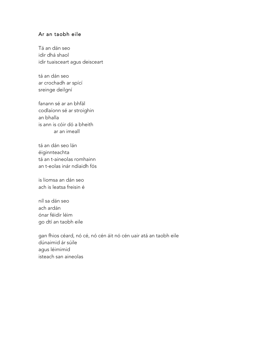#### Ar an taobh eile

Tá an dán seo idir dhá shaol idir tuaisceart agus deisceart

tá an dán seo ar crochadh ar spící sreinge deilgní

fanann sé ar an bhfál codlaíonn sé ar stroighin an bhalla is ann is cóir dó a bheith ar an imeall

tá an dán seo lán éiginnteachta tá an t-aineolas romhainn an t-eolas inár ndiaidh fós

is liomsa an dán seo ach is leatsa freisin é

níl sa dán seo ach ardán ónar féidir léim go dtí an taobh eile

gan fhios céard, nó cé, nó cén áit nó cén uair atá an taobh eile dúnaimid ár súile agus léimimid isteach san aineolas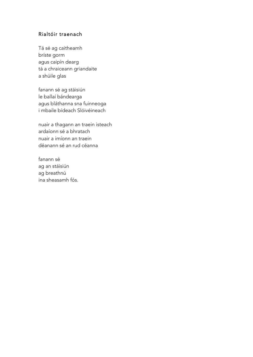#### Rialtóir traenach

Tá sé ag caitheamh bríste gorm agus caipín dearg tá a chraiceann griandaite a shúile glas

fanann sé ag stáisiún le ballaí bándearga agus bláthanna sna fuinneoga i mbaile bídeach Slóivéineach

nuair a thagann an traein isteach ardaíonn sé a bhratach nuair a imíonn an traein déanann sé an rud céanna

fanann sé ag an stáisiún ag breathnú ina sheasamh fós.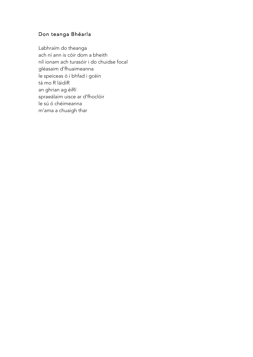# Don teanga Bhéarla

Labhraím do theanga ach ní ann is cóir dom a bheith níl ionam ach turasóir i do chuidse focal gléasaim d'fhuaimeanna le speiceas ó i bhfad i gcéin tá mo R láidiR an ghrian ag éiRí spraeálaim uisce ar d'fhoclóir le sú ó chéimeanna m'ama a chuaigh thar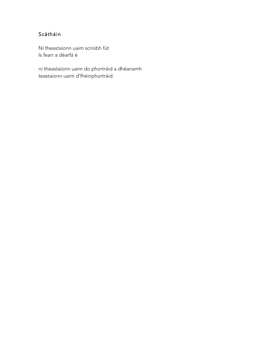# Scátháin

Ní theastaíonn uaim scríobh fút Is fearr a déarfá é

ní theastaíonn uaim do phortráid a dhéanamh teastaíonn uaim d'fhéinphortráid.